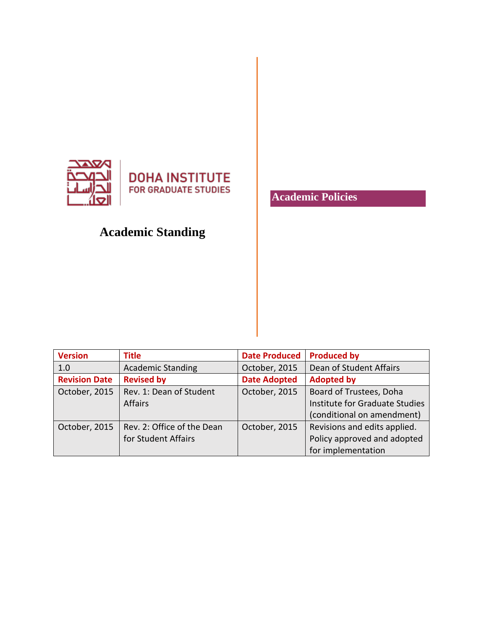

## **Academic Standing**

**Academic Policies**

| <b>Version</b>       | <b>Title</b>               | <b>Date Produced</b> | <b>Produced by</b>             |
|----------------------|----------------------------|----------------------|--------------------------------|
| 1.0                  | <b>Academic Standing</b>   | October, 2015        | Dean of Student Affairs        |
| <b>Revision Date</b> | <b>Revised by</b>          | <b>Date Adopted</b>  | <b>Adopted by</b>              |
| October, 2015        | Rev. 1: Dean of Student    | October, 2015        | Board of Trustees, Doha        |
|                      | <b>Affairs</b>             |                      | Institute for Graduate Studies |
|                      |                            |                      | (conditional on amendment)     |
| October, 2015        | Rev. 2: Office of the Dean | October, 2015        | Revisions and edits applied.   |
|                      | for Student Affairs        |                      | Policy approved and adopted    |
|                      |                            |                      | for implementation             |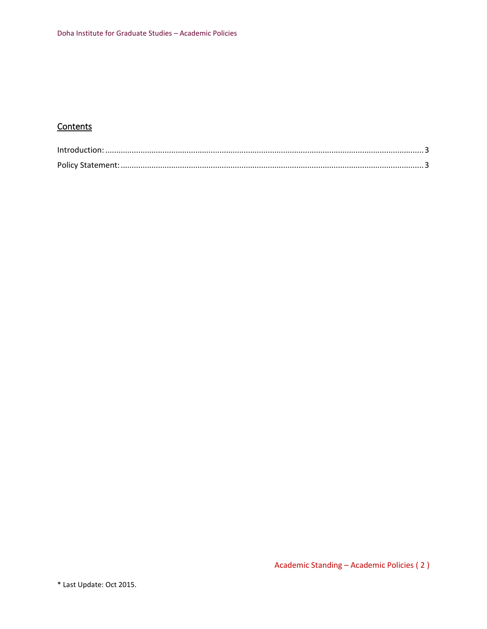## **Contents**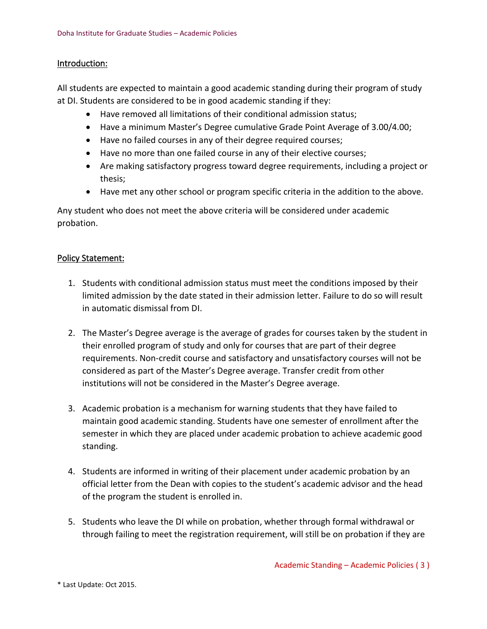## <span id="page-2-0"></span>Introduction:

All students are expected to maintain a good academic standing during their program of study at DI. Students are considered to be in good academic standing if they:

- Have removed all limitations of their conditional admission status;
- Have a minimum Master's Degree cumulative Grade Point Average of 3.00/4.00;
- Have no failed courses in any of their degree required courses;
- Have no more than one failed course in any of their elective courses;
- Are making satisfactory progress toward degree requirements, including a project or thesis;
- Have met any other school or program specific criteria in the addition to the above.

Any student who does not meet the above criteria will be considered under academic probation.

## <span id="page-2-1"></span>Policy Statement:

- 1. Students with conditional admission status must meet the conditions imposed by their limited admission by the date stated in their admission letter. Failure to do so will result in automatic dismissal from DI.
- 2. The Master's Degree average is the average of grades for courses taken by the student in their enrolled program of study and only for courses that are part of their degree requirements. Non-credit course and satisfactory and unsatisfactory courses will not be considered as part of the Master's Degree average. Transfer credit from other institutions will not be considered in the Master's Degree average.
- 3. Academic probation is a mechanism for warning students that they have failed to maintain good academic standing. Students have one semester of enrollment after the semester in which they are placed under academic probation to achieve academic good standing.
- 4. Students are informed in writing of their placement under academic probation by an official letter from the Dean with copies to the student's academic advisor and the head of the program the student is enrolled in.
- 5. Students who leave the DI while on probation, whether through formal withdrawal or through failing to meet the registration requirement, will still be on probation if they are